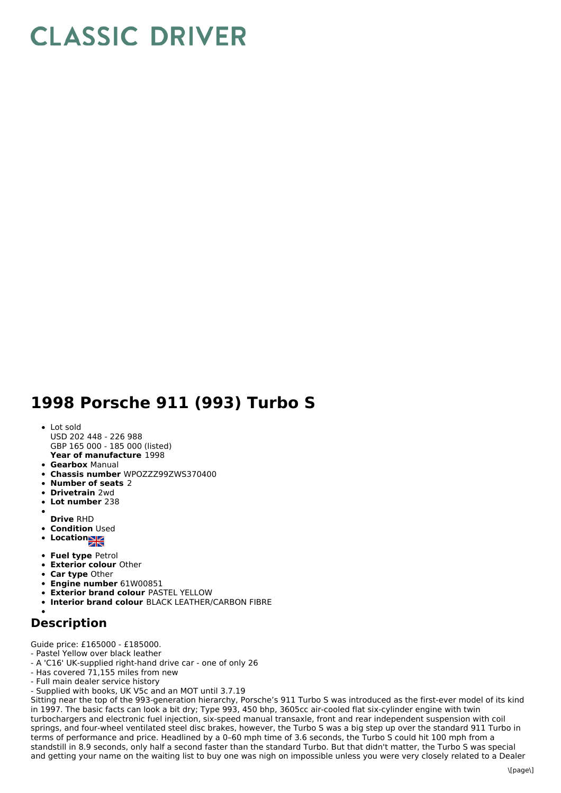## **CLASSIC DRIVER**

## **1998 Porsche 911 (993) Turbo S**

**Year of manufacture** 1998 • Lot sold USD 202 448 - 226 988 GBP 165 000 - 185 000 (listed)

- **Gearbox** Manual
- **Chassis number** WPOZZZ99ZWS370400
- **Number of seats** 2
- **Drivetrain** 2wd
- **Lot number** 238
- **Drive** RHD
- **Condition Used**
- **Location**
- 
- **Fuel type** Petrol
- **Exterior colour** Other
- **Car type** Other
- **Engine number** 61W00851
- **Exterior brand colour** PASTEL YELLOW
- **Interior brand colour** BLACK LEATHER/CARBON FIBRE

## **Description**

Guide price: £165000 - £185000.

- Pastel Yellow over black leather
- A 'C16' UK-supplied right-hand drive car one of only 26
- Has covered 71,155 miles from new
- Full main dealer service history
- Supplied with books, UK V5c and an MOT until 3.7.19

Sitting near the top of the 993-generation hierarchy, Porsche's 911 Turbo S was introduced as the first-ever model of its kind in 1997. The basic facts can look a bit dry; Type 993, 450 bhp, 3605cc air-cooled flat six-cylinder engine with twin turbochargers and electronic fuel injection, six-speed manual transaxle, front and rear independent suspension with coil springs, and four-wheel ventilated steel disc brakes, however, the Turbo S was a big step up over the standard 911 Turbo in terms of performance and price. Headlined by a 0–60 mph time of 3.6 seconds, the Turbo S could hit 100 mph from a standstill in 8.9 seconds, only half a second faster than the standard Turbo. But that didn't matter, the Turbo S was special and getting your name on the waiting list to buy one was nigh on impossible unless you were very closely related to a Dealer